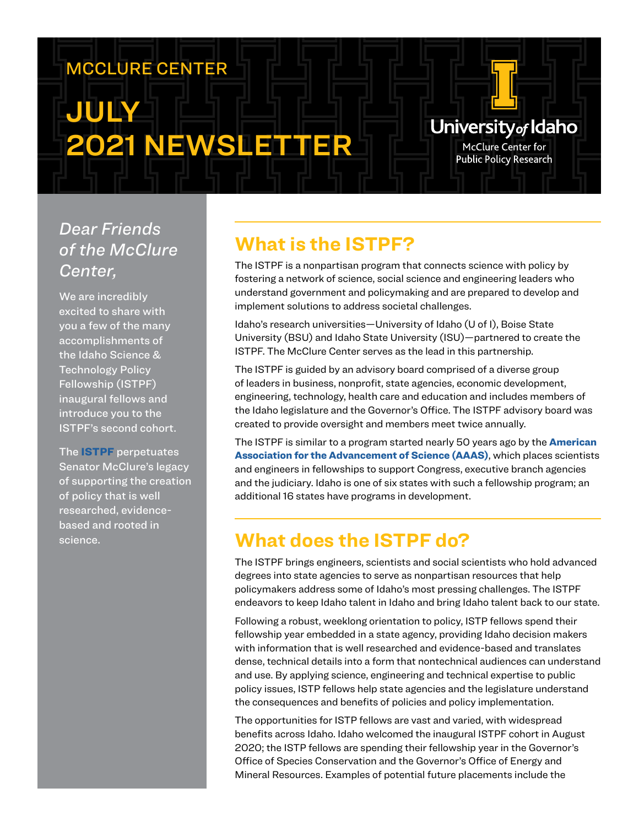# MCCLURE CENTER

# JULY 2021 NEWSLETTER

# *Dear Friends of the McClure Center,*

We are incredibly excited to share with you a few of the many accomplishments of the Idaho Science & **Technology Policy** Fellowship (ISTPF) inaugural fellows and introduce you to the ISTPF's second cohort.

The ISTPF perpetuates Senator McClure's legacy of supporting the creation of policy that is well researched, evidencebased and rooted in science.

# **What is the ISTPF?**

The ISTPF is a nonpartisan program that connects science with policy by fostering a network of science, social science and engineering leaders who understand government and policymaking and are prepared to develop and implement solutions to address societal challenges.

University<sub>of</sub> Idaho **McClure Center for Public Policy Research** 

Idaho's research universities—University of Idaho (U of I), Boise State University (BSU) and Idaho State University (ISU)—partnered to create the ISTPF. The McClure Center serves as the lead in this partnership.

The ISTPF is guided by an advisory board comprised of a diverse group of leaders in business, nonprofit, state agencies, economic development, engineering, technology, health care and education and includes members of the Idaho legislature and the Governor's Office. The ISTPF advisory board was created to provide oversight and members meet twice annually.

The ISTPF is similar to a program started nearly 50 years ago by the **American** Association for the Advancement of Science (AAAS), which places scientists and engineers in fellowships to support Congress, executive branch agencies and the judiciary. Idaho is one of six states with such a fellowship program; an additional 16 states have programs in development.

# **What does the ISTPF do?**

The ISTPF brings engineers, scientists and social scientists who hold advanced degrees into state agencies to serve as nonpartisan resources that help policymakers address some of Idaho's most pressing challenges. The ISTPF endeavors to keep Idaho talent in Idaho and bring Idaho talent back to our state.

Following a robust, weeklong orientation to policy, ISTP fellows spend their fellowship year embedded in a state agency, providing Idaho decision makers with information that is well researched and evidence-based and translates dense, technical details into a form that nontechnical audiences can understand and use. By applying science, engineering and technical expertise to public policy issues, ISTP fellows help state agencies and the legislature understand the consequences and benefits of policies and policy implementation.

The opportunities for ISTP fellows are vast and varied, with widespread benefits across Idaho. Idaho welcomed the inaugural ISTPF cohort in August 2020; the ISTP fellows are spending their fellowship year in the Governor's Office of Species Conservation and the Governor's Office of Energy and Mineral Resources. Examples of potential future placements include the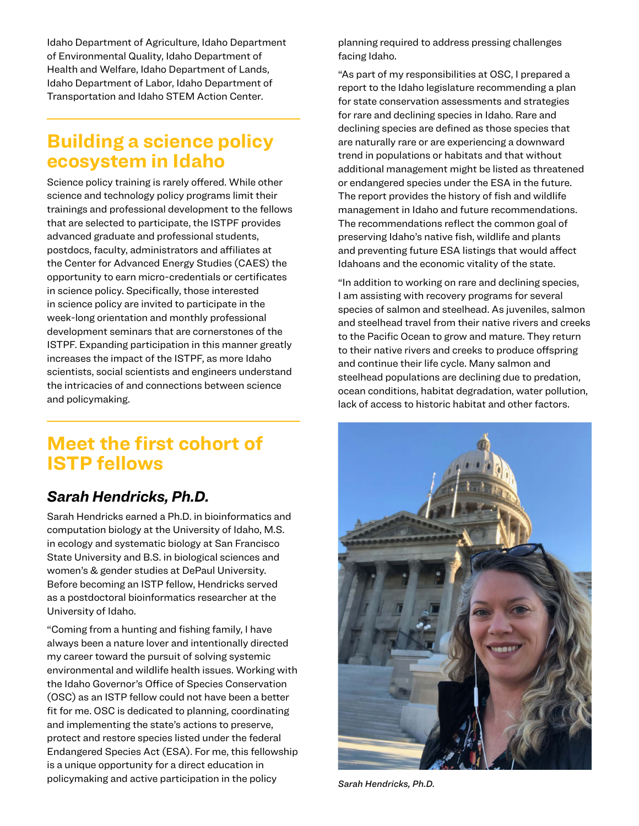Idaho Department of Agriculture, Idaho Department of Environmental Quality, Idaho Department of Health and Welfare, Idaho Department of Lands, Idaho Department of Labor, Idaho Department of Transportation and Idaho STEM Action Center.

# **Building a science policy ecosystem in Idaho**

Science policy training is rarely offered. While other science and technology policy programs limit their trainings and professional development to the fellows that are selected to participate, the ISTPF provides advanced graduate and professional students, postdocs, faculty, administrators and affiliates at the Center for Advanced Energy Studies (CAES) the opportunity to earn micro-credentials or certificates in science policy. Specifically, those interested in science policy are invited to participate in the week-long orientation and monthly professional development seminars that are cornerstones of the ISTPF. Expanding participation in this manner greatly increases the impact of the ISTPF, as more Idaho scientists, social scientists and engineers understand the intricacies of and connections between science and policymaking.

# **Meet the first cohort of ISTP fellows**

## *Sarah Hendricks, Ph.D.*

Sarah Hendricks earned a Ph.D. in bioinformatics and computation biology at the University of Idaho, M.S. in ecology and systematic biology at San Francisco State University and B.S. in biological sciences and women's & gender studies at DePaul University. Before becoming an ISTP fellow, Hendricks served as a postdoctoral bioinformatics researcher at the University of Idaho.

"Coming from a hunting and fishing family, I have always been a nature lover and intentionally directed my career toward the pursuit of solving systemic environmental and wildlife health issues. Working with the Idaho Governor's Office of Species Conservation (OSC) as an ISTP fellow could not have been a better fit for me. OSC is dedicated to planning, coordinating and implementing the state's actions to preserve, protect and restore species listed under the federal Endangered Species Act (ESA). For me, this fellowship is a unique opportunity for a direct education in policymaking and active participation in the policy *Sarah Hendricks, Ph.D.*

planning required to address pressing challenges facing Idaho.

"As part of my responsibilities at OSC, I prepared a report to the Idaho legislature recommending a plan for state conservation assessments and strategies for rare and declining species in Idaho. Rare and declining species are defined as those species that are naturally rare or are experiencing a downward trend in populations or habitats and that without additional management might be listed as threatened or endangered species under the ESA in the future. The report provides the history of fish and wildlife management in Idaho and future recommendations. The recommendations reflect the common goal of preserving Idaho's native fish, wildlife and plants and preventing future ESA listings that would affect Idahoans and the economic vitality of the state.

"In addition to working on rare and declining species, I am assisting with recovery programs for several species of salmon and steelhead. As juveniles, salmon and steelhead travel from their native rivers and creeks to the Pacific Ocean to grow and mature. They return to their native rivers and creeks to produce offspring and continue their life cycle. Many salmon and steelhead populations are declining due to predation, ocean conditions, habitat degradation, water pollution, lack of access to historic habitat and other factors.

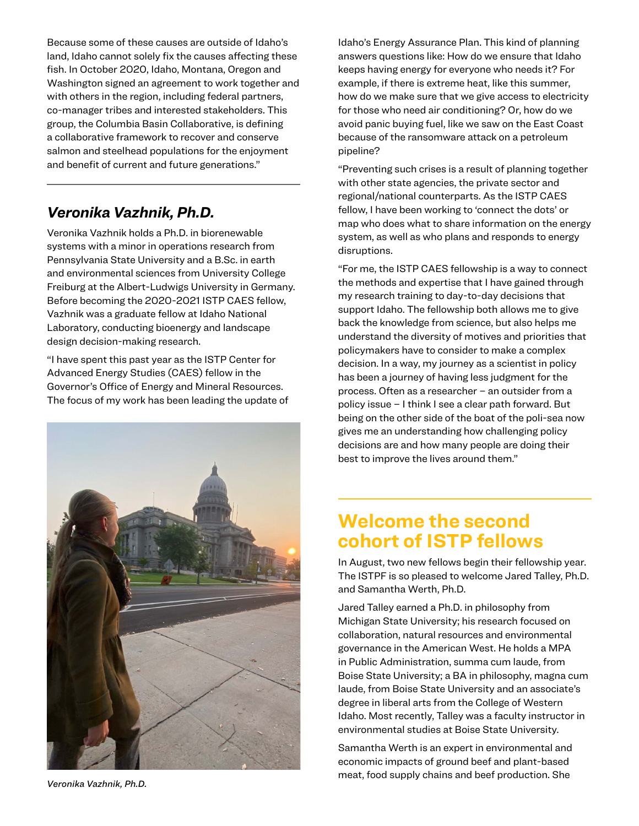Because some of these causes are outside of Idaho's land, Idaho cannot solely fix the causes affecting these fish. In October 2020, Idaho, Montana, Oregon and Washington signed an agreement to work together and with others in the region, including federal partners, co-manager tribes and interested stakeholders. This group, the Columbia Basin Collaborative, is defining a collaborative framework to recover and conserve salmon and steelhead populations for the enjoyment and benefit of current and future generations."

## *Veronika Vazhnik, Ph.D.*

Veronika Vazhnik holds a Ph.D. in biorenewable systems with a minor in operations research from Pennsylvania State University and a B.Sc. in earth and environmental sciences from University College Freiburg at the Albert-Ludwigs University in Germany. Before becoming the 2020-2021 ISTP CAES fellow, Vazhnik was a graduate fellow at Idaho National Laboratory, conducting bioenergy and landscape design decision-making research.

"I have spent this past year as the ISTP Center for Advanced Energy Studies (CAES) fellow in the Governor's Office of Energy and Mineral Resources. The focus of my work has been leading the update of



Idaho's Energy Assurance Plan. This kind of planning answers questions like: How do we ensure that Idaho keeps having energy for everyone who needs it? For example, if there is extreme heat, like this summer, how do we make sure that we give access to electricity for those who need air conditioning? Or, how do we avoid panic buying fuel, like we saw on the East Coast because of the ransomware attack on a petroleum pipeline?

"Preventing such crises is a result of planning together with other state agencies, the private sector and regional/national counterparts. As the ISTP CAES fellow, I have been working to 'connect the dots' or map who does what to share information on the energy system, as well as who plans and responds to energy disruptions.

"For me, the ISTP CAES fellowship is a way to connect the methods and expertise that I have gained through my research training to day-to-day decisions that support Idaho. The fellowship both allows me to give back the knowledge from science, but also helps me understand the diversity of motives and priorities that policymakers have to consider to make a complex decision. In a way, my journey as a scientist in policy has been a journey of having less judgment for the process. Often as a researcher – an outsider from a policy issue – I think I see a clear path forward. But being on the other side of the boat of the poli-sea now gives me an understanding how challenging policy decisions are and how many people are doing their best to improve the lives around them."

# **Welcome the second cohort of ISTP fellows**

In August, two new fellows begin their fellowship year. The ISTPF is so pleased to welcome Jared Talley, Ph.D. and Samantha Werth, Ph.D.

Jared Talley earned a Ph.D. in philosophy from Michigan State University; his research focused on collaboration, natural resources and environmental governance in the American West. He holds a MPA in Public Administration, summa cum laude, from Boise State University; a BA in philosophy, magna cum laude, from Boise State University and an associate's degree in liberal arts from the College of Western Idaho. Most recently, Talley was a faculty instructor in environmental studies at Boise State University.

Samantha Werth is an expert in environmental and economic impacts of ground beef and plant-based meat, food supply chains and beef production. She

*Veronika Vazhnik, Ph.D.*